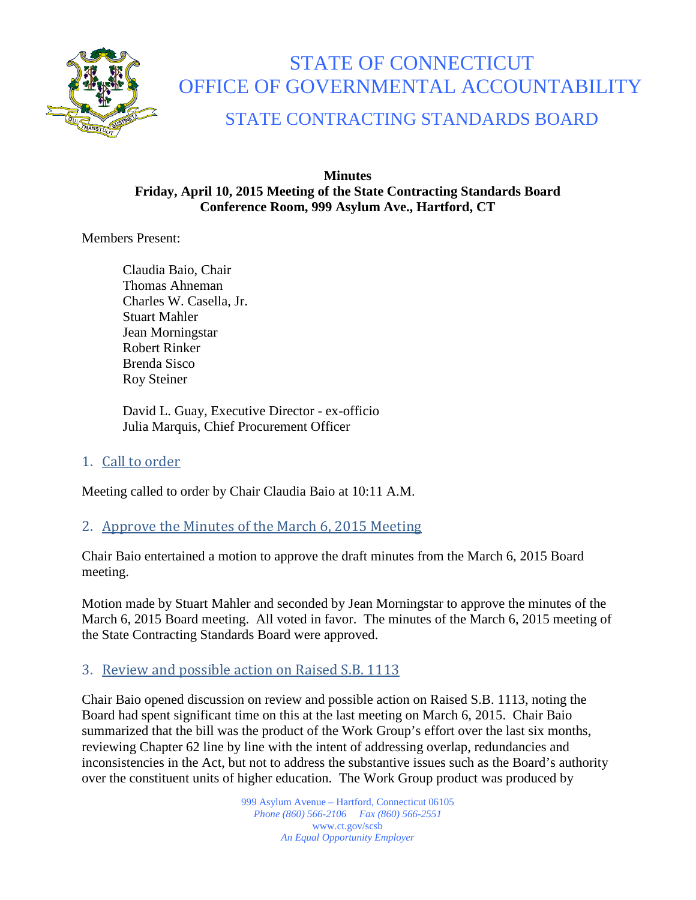

# STATE OF CONNECTICUT OFFICE OF GOVERNMENTAL ACCOUNTABILITY

# STATE CONTRACTING STANDARDS BOARD

### **Minutes Friday, April 10, 2015 Meeting of the State Contracting Standards Board Conference Room, 999 Asylum Ave., Hartford, CT**

Members Present:

Claudia Baio, Chair Thomas Ahneman Charles W. Casella, Jr. Stuart Mahler Jean Morningstar Robert Rinker Brenda Sisco Roy Steiner

David L. Guay, Executive Director - ex-officio Julia Marquis, Chief Procurement Officer

# 1. Call to order

Meeting called to order by Chair Claudia Baio at 10:11 A.M.

# 2. Approve the Minutes of the March 6, 2015 Meeting

Chair Baio entertained a motion to approve the draft minutes from the March 6, 2015 Board meeting.

Motion made by Stuart Mahler and seconded by Jean Morningstar to approve the minutes of the March 6, 2015 Board meeting. All voted in favor. The minutes of the March 6, 2015 meeting of the State Contracting Standards Board were approved.

# 3. Review and possible action on Raised S.B. 1113

Chair Baio opened discussion on review and possible action on Raised S.B. 1113, noting the Board had spent significant time on this at the last meeting on March 6, 2015. Chair Baio summarized that the bill was the product of the Work Group's effort over the last six months, reviewing Chapter 62 line by line with the intent of addressing overlap, redundancies and inconsistencies in the Act, but not to address the substantive issues such as the Board's authority over the constituent units of higher education. The Work Group product was produced by

> 999 Asylum Avenue – Hartford, Connecticut 06105 *Phone (860) 566-2106 Fax (860) 566-2551* www.ct.gov/scsb *An Equal Opportunity Employer*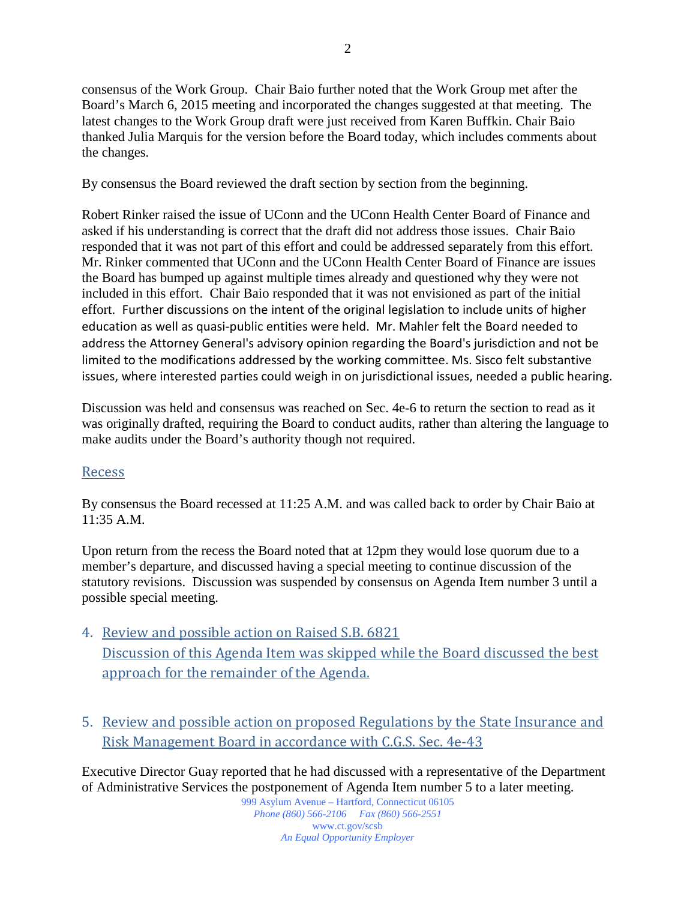consensus of the Work Group. Chair Baio further noted that the Work Group met after the Board's March 6, 2015 meeting and incorporated the changes suggested at that meeting. The latest changes to the Work Group draft were just received from Karen Buffkin. Chair Baio thanked Julia Marquis for the version before the Board today, which includes comments about the changes.

By consensus the Board reviewed the draft section by section from the beginning.

Robert Rinker raised the issue of UConn and the UConn Health Center Board of Finance and asked if his understanding is correct that the draft did not address those issues. Chair Baio responded that it was not part of this effort and could be addressed separately from this effort. Mr. Rinker commented that UConn and the UConn Health Center Board of Finance are issues the Board has bumped up against multiple times already and questioned why they were not included in this effort. Chair Baio responded that it was not envisioned as part of the initial effort. Further discussions on the intent of the original legislation to include units of higher education as well as quasi-public entities were held. Mr. Mahler felt the Board needed to address the Attorney General's advisory opinion regarding the Board's jurisdiction and not be limited to the modifications addressed by the working committee. Ms. Sisco felt substantive issues, where interested parties could weigh in on jurisdictional issues, needed a public hearing.

Discussion was held and consensus was reached on Sec. 4e-6 to return the section to read as it was originally drafted, requiring the Board to conduct audits, rather than altering the language to make audits under the Board's authority though not required.

## Recess

By consensus the Board recessed at 11:25 A.M. and was called back to order by Chair Baio at 11:35 A.M.

Upon return from the recess the Board noted that at 12pm they would lose quorum due to a member's departure, and discussed having a special meeting to continue discussion of the statutory revisions. Discussion was suspended by consensus on Agenda Item number 3 until a possible special meeting.

- 4. Review and possible action on Raised S.B. 6821 Discussion of this Agenda Item was skipped while the Board discussed the best approach for the remainder of the Agenda.
- 5. Review and possible action on proposed Regulations by the State Insurance and Risk Management Board in accordance with C.G.S. Sec. 4e-43

Executive Director Guay reported that he had discussed with a representative of the Department of Administrative Services the postponement of Agenda Item number 5 to a later meeting.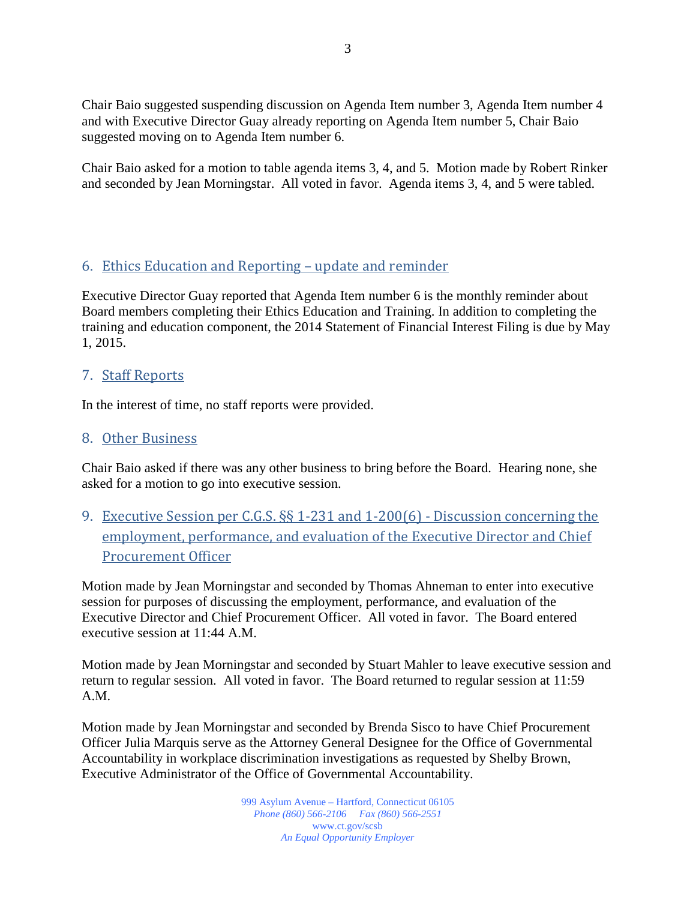Chair Baio suggested suspending discussion on Agenda Item number 3, Agenda Item number 4 and with Executive Director Guay already reporting on Agenda Item number 5, Chair Baio suggested moving on to Agenda Item number 6.

Chair Baio asked for a motion to table agenda items 3, 4, and 5. Motion made by Robert Rinker and seconded by Jean Morningstar. All voted in favor. Agenda items 3, 4, and 5 were tabled.

### 6. Ethics Education and Reporting – update and reminder

Executive Director Guay reported that Agenda Item number 6 is the monthly reminder about Board members completing their Ethics Education and Training. In addition to completing the training and education component, the 2014 Statement of Financial Interest Filing is due by May 1, 2015.

#### 7. Staff Reports

In the interest of time, no staff reports were provided.

#### 8. Other Business

Chair Baio asked if there was any other business to bring before the Board. Hearing none, she asked for a motion to go into executive session.

9. Executive Session per C.G.S. §§ 1-231 and 1-200(6) - Discussion concerning the employment, performance, and evaluation of the Executive Director and Chief Procurement Officer

Motion made by Jean Morningstar and seconded by Thomas Ahneman to enter into executive session for purposes of discussing the employment, performance, and evaluation of the Executive Director and Chief Procurement Officer. All voted in favor. The Board entered executive session at 11:44 A.M.

Motion made by Jean Morningstar and seconded by Stuart Mahler to leave executive session and return to regular session. All voted in favor. The Board returned to regular session at 11:59 A.M.

Motion made by Jean Morningstar and seconded by Brenda Sisco to have Chief Procurement Officer Julia Marquis serve as the Attorney General Designee for the Office of Governmental Accountability in workplace discrimination investigations as requested by Shelby Brown, Executive Administrator of the Office of Governmental Accountability.

> 999 Asylum Avenue – Hartford, Connecticut 06105 *Phone (860) 566-2106 Fax (860) 566-2551* www.ct.gov/scsb *An Equal Opportunity Employer*